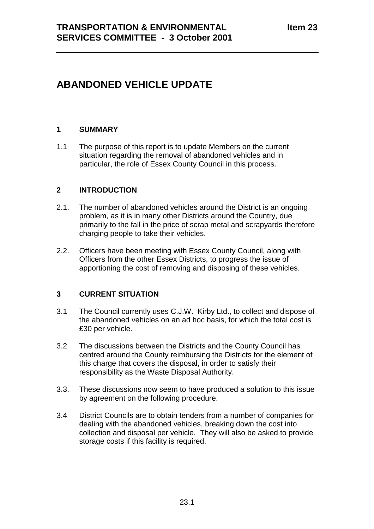# **ABANDONED VEHICLE UPDATE**

# **1 SUMMARY**

1.1 The purpose of this report is to update Members on the current situation regarding the removal of abandoned vehicles and in particular, the role of Essex County Council in this process.

# **2 INTRODUCTION**

- 2.1. The number of abandoned vehicles around the District is an ongoing problem, as it is in many other Districts around the Country, due primarily to the fall in the price of scrap metal and scrapyards therefore charging people to take their vehicles.
- 2.2. Officers have been meeting with Essex County Council, along with Officers from the other Essex Districts, to progress the issue of apportioning the cost of removing and disposing of these vehicles.

# **3 CURRENT SITUATION**

- 3.1 The Council currently uses C.J.W. Kirby Ltd., to collect and dispose of the abandoned vehicles on an ad hoc basis, for which the total cost is £30 per vehicle.
- 3.2 The discussions between the Districts and the County Council has centred around the County reimbursing the Districts for the element of this charge that covers the disposal, in order to satisfy their responsibility as the Waste Disposal Authority.
- 3.3. These discussions now seem to have produced a solution to this issue by agreement on the following procedure.
- 3.4 District Councils are to obtain tenders from a number of companies for dealing with the abandoned vehicles, breaking down the cost into collection and disposal per vehicle. They will also be asked to provide storage costs if this facility is required.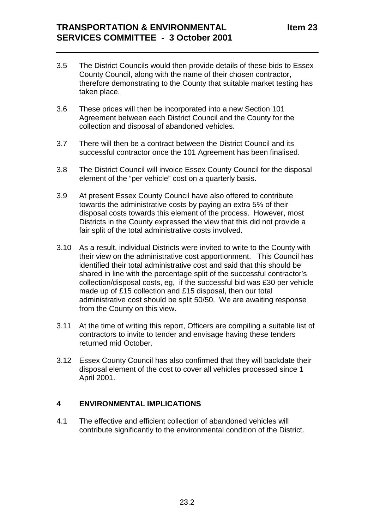- 3.5 The District Councils would then provide details of these bids to Essex County Council, along with the name of their chosen contractor, therefore demonstrating to the County that suitable market testing has taken place.
- 3.6 These prices will then be incorporated into a new Section 101 Agreement between each District Council and the County for the collection and disposal of abandoned vehicles.
- 3.7 There will then be a contract between the District Council and its successful contractor once the 101 Agreement has been finalised.
- 3.8 The District Council will invoice Essex County Council for the disposal element of the "per vehicle" cost on a quarterly basis.
- 3.9 At present Essex County Council have also offered to contribute towards the administrative costs by paying an extra 5% of their disposal costs towards this element of the process. However, most Districts in the County expressed the view that this did not provide a fair split of the total administrative costs involved.
- 3.10 As a result, individual Districts were invited to write to the County with their view on the administrative cost apportionment. This Council has identified their total administrative cost and said that this should be shared in line with the percentage split of the successful contractor's collection/disposal costs, eg, if the successful bid was £30 per vehicle made up of £15 collection and £15 disposal, then our total administrative cost should be split 50/50. We are awaiting response from the County on this view.
- 3.11 At the time of writing this report, Officers are compiling a suitable list of contractors to invite to tender and envisage having these tenders returned mid October.
- 3.12 Essex County Council has also confirmed that they will backdate their disposal element of the cost to cover all vehicles processed since 1 April 2001.

#### **4 ENVIRONMENTAL IMPLICATIONS**

4.1 The effective and efficient collection of abandoned vehicles will contribute significantly to the environmental condition of the District.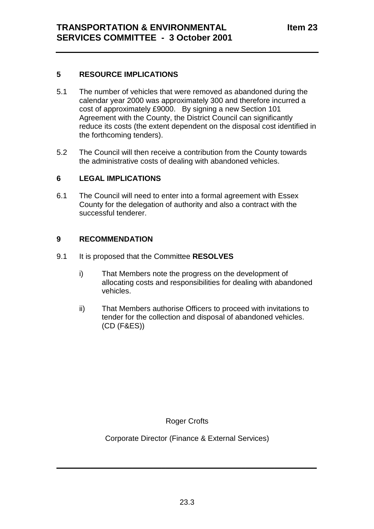# **5 RESOURCE IMPLICATIONS**

- 5.1 The number of vehicles that were removed as abandoned during the calendar year 2000 was approximately 300 and therefore incurred a cost of approximately £9000. By signing a new Section 101 Agreement with the County, the District Council can significantly reduce its costs (the extent dependent on the disposal cost identified in the forthcoming tenders).
- 5.2 The Council will then receive a contribution from the County towards the administrative costs of dealing with abandoned vehicles.

#### **6 LEGAL IMPLICATIONS**

6.1 The Council will need to enter into a formal agreement with Essex County for the delegation of authority and also a contract with the successful tenderer.

# **9 RECOMMENDATION**

- 9.1 It is proposed that the Committee **RESOLVES**
	- i) That Members note the progress on the development of allocating costs and responsibilities for dealing with abandoned vehicles.
	- ii) That Members authorise Officers to proceed with invitations to tender for the collection and disposal of abandoned vehicles. (CD (F&ES))

Roger Crofts

Corporate Director (Finance & External Services)

 $\frac{1}{2}$  ,  $\frac{1}{2}$  ,  $\frac{1}{2}$  ,  $\frac{1}{2}$  ,  $\frac{1}{2}$  ,  $\frac{1}{2}$  ,  $\frac{1}{2}$  ,  $\frac{1}{2}$  ,  $\frac{1}{2}$  ,  $\frac{1}{2}$  ,  $\frac{1}{2}$  ,  $\frac{1}{2}$  ,  $\frac{1}{2}$  ,  $\frac{1}{2}$  ,  $\frac{1}{2}$  ,  $\frac{1}{2}$  ,  $\frac{1}{2}$  ,  $\frac{1}{2}$  ,  $\frac{1$